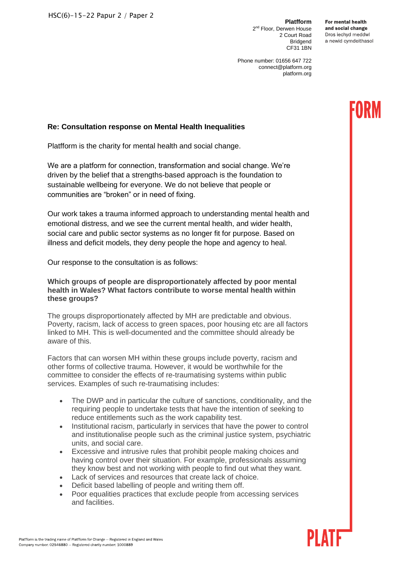**Platfform** 2<sup>nd</sup> Floor, Derwen House 2 Court Road Bridgend CF31 1BN

For montal hoalth and social change Dros iechyd meddwl a newid cymdeithasol

Phone number: 01656 647 722 connect@platform.org platform.org

# **Re: Consultation response on Mental Health Inequalities**

Platfform is the charity for mental health and social change.

We are a platform for connection, transformation and social change. We're driven by the belief that a strengths-based approach is the foundation to sustainable wellbeing for everyone. We do not believe that people or communities are "broken" or in need of fixing.

Our work takes a trauma informed approach to understanding mental health and emotional distress, and we see the current mental health, and wider health, social care and public sector systems as no longer fit for purpose. Based on illness and deficit models, they deny people the hope and agency to heal.

Our response to the consultation is as follows:

## **Which groups of people are disproportionately affected by poor mental health in Wales? What factors contribute to worse mental health within these groups?**

The groups disproportionately affected by MH are predictable and obvious. Poverty, racism, lack of access to green spaces, poor housing etc are all factors linked to MH. This is well-documented and the committee should already be aware of this.

Factors that can worsen MH within these groups include poverty, racism and other forms of collective trauma. However, it would be worthwhile for the committee to consider the effects of re-traumatising systems within public services. Examples of such re-traumatising includes:

- The DWP and in particular the culture of sanctions, conditionality, and the requiring people to undertake tests that have the intention of seeking to reduce entitlements such as the work capability test.
- Institutional racism, particularly in services that have the power to control and institutionalise people such as the criminal justice system, psychiatric units, and social care.
- Excessive and intrusive rules that prohibit people making choices and having control over their situation. For example, professionals assuming they know best and not working with people to find out what they want.
- Lack of services and resources that create lack of choice.
- Deficit based labelling of people and writing them off.
- Poor equalities practices that exclude people from accessing services and facilities.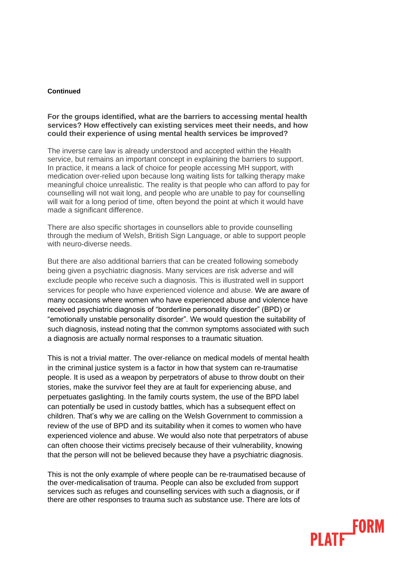#### **Continued**

## **For the groups identified, what are the barriers to accessing mental health services? How effectively can existing services meet their needs, and how could their experience of using mental health services be improved?**

The inverse care law is already understood and accepted within the Health service, but remains an important concept in explaining the barriers to support. In practice, it means a lack of choice for people accessing MH support, with medication over-relied upon because long waiting lists for talking therapy make meaningful choice unrealistic. The reality is that people who can afford to pay for counselling will not wait long, and people who are unable to pay for counselling will wait for a long period of time, often beyond the point at which it would have made a significant difference.

There are also specific shortages in counsellors able to provide counselling through the medium of Welsh, British Sign Language, or able to support people with neuro-diverse needs.

But there are also additional barriers that can be created following somebody being given a psychiatric diagnosis. Many services are risk adverse and will exclude people who receive such a diagnosis. This is illustrated well in support services for people who have experienced violence and abuse. We are aware of many occasions where women who have experienced abuse and violence have received psychiatric diagnosis of "borderline personality disorder" (BPD) or "emotionally unstable personality disorder". We would question the suitability of such diagnosis, instead noting that the common symptoms associated with such a diagnosis are actually normal responses to a traumatic situation.

This is not a trivial matter. The over-reliance on medical models of mental health in the criminal justice system is a factor in how that system can re-traumatise people. It is used as a weapon by perpetrators of abuse to throw doubt on their stories, make the survivor feel they are at fault for experiencing abuse, and perpetuates gaslighting. In the family courts system, the use of the BPD label can potentially be used in custody battles, which has a subsequent effect on children. That's why we are calling on the Welsh Government to commission a review of the use of BPD and its suitability when it comes to women who have experienced violence and abuse. We would also note that perpetrators of abuse can often choose their victims precisely because of their vulnerability, knowing that the person will not be believed because they have a psychiatric diagnosis.

This is not the only example of where people can be re-traumatised because of the over-medicalisation of trauma. People can also be excluded from support services such as refuges and counselling services with such a diagnosis, or if there are other responses to trauma such as substance use. There are lots of

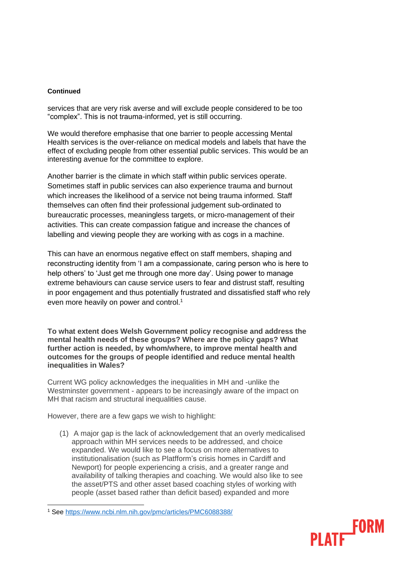#### **Continued**

services that are very risk averse and will exclude people considered to be too "complex". This is not trauma-informed, yet is still occurring.

We would therefore emphasise that one barrier to people accessing Mental Health services is the over-reliance on medical models and labels that have the effect of excluding people from other essential public services. This would be an interesting avenue for the committee to explore.

Another barrier is the climate in which staff within public services operate. Sometimes staff in public services can also experience trauma and burnout which increases the likelihood of a service not being trauma informed. Staff themselves can often find their professional judgement sub-ordinated to bureaucratic processes, meaningless targets, or micro-management of their activities. This can create compassion fatigue and increase the chances of labelling and viewing people they are working with as cogs in a machine.

This can have an enormous negative effect on staff members, shaping and reconstructing identity from 'I am a compassionate, caring person who is here to help others' to 'Just get me through one more day'. Using power to manage extreme behaviours can cause service users to fear and distrust staff, resulting in poor engagement and thus potentially frustrated and dissatisfied staff who rely even more heavily on power and control.<sup>1</sup>

**To what extent does Welsh Government policy recognise and address the mental health needs of these groups? Where are the policy gaps? What further action is needed, by whom/where, to improve mental health and outcomes for the groups of people identified and reduce mental health inequalities in Wales?**

Current WG policy acknowledges the inequalities in MH and -unlike the Westminster government - appears to be increasingly aware of the impact on MH that racism and structural inequalities cause.

However, there are a few gaps we wish to highlight:

(1) A major gap is the lack of acknowledgement that an overly medicalised approach within MH services needs to be addressed, and choice expanded. We would like to see a focus on more alternatives to institutionalisation (such as Platfform's crisis homes in Cardiff and Newport) for people experiencing a crisis, and a greater range and availability of talking therapies and coaching. We would also like to see the asset/PTS and other asset based coaching styles of working with people (asset based rather than deficit based) expanded and more

**FORM** 

<sup>1</sup> See<https://www.ncbi.nlm.nih.gov/pmc/articles/PMC6088388/>